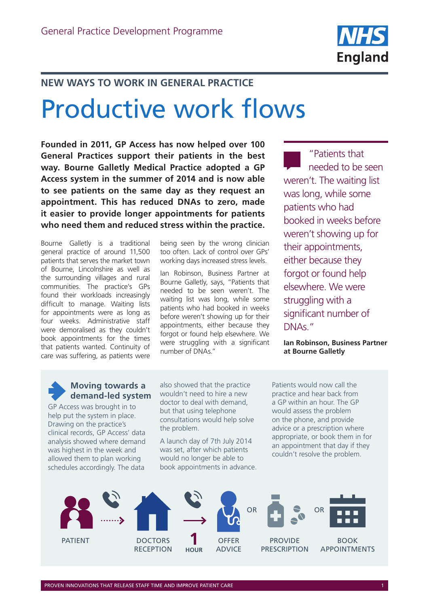

#### **NEW WAYS TO WORK IN GENERAL PRACTICE**

# Productive work flows

**Founded in 2011, GP Access has now helped over 100 General Practices support their patients in the best way. Bourne Galletly Medical Practice adopted a GP Access system in the summer of 2014 and is now able to see patients on the same day as they request an appointment. This has reduced DNAs to zero, made it easier to provide longer appointments for patients who need them and reduced stress within the practice.**

Bourne Galletly is a traditional general practice of around 11,500 patients that serves the market town of Bourne, Lincolnshire as well as the surrounding villages and rural communities. The practice's GPs found their workloads increasingly difficult to manage. Waiting lists for appointments were as long as four weeks. Administrative staff were demoralised as they couldn't book appointments for the times that patients wanted. Continuity of care was suffering, as patients were

being seen by the wrong clinician too often. Lack of control over GPs' working days increased stress levels.

Ian Robinson, Business Partner at Bourne Galletly, says, "Patients that needed to be seen weren't. The waiting list was long, while some patients who had booked in weeks before weren't showing up for their appointments, either because they forgot or found help elsewhere. We were struggling with a significant number of DNAs."

"Patients that needed to be seen weren't. The waiting list was long, while some patients who had booked in weeks before weren't showing up for their appointments, either because they forgot or found help elsewhere. We were struggling with a significant number of DNAs."

**Ian Robinson, Business Partner at Bourne Galletly**

#### **Moving towards a demand-led system**

GP Access was brought in to help put the system in place. Drawing on the practice's clinical records, GP Access' data analysis showed where demand was highest in the week and allowed them to plan working schedules accordingly. The data

also showed that the practice wouldn't need to hire a new doctor to deal with demand, but that using telephone consultations would help solve the problem.

A launch day of 7th July 2014 was set, after which patients would no longer be able to book appointments in advance. Patients would now call the practice and hear back from a GP within an hour. The GP would assess the problem on the phone, and provide advice or a prescription where appropriate, or book them in for an appointment that day if they couldn't resolve the problem.

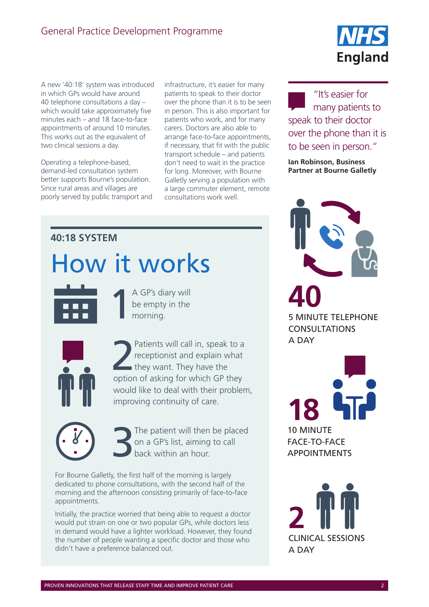A new '40:18' system was introduced in which GPs would have around 40 telephone consultations a day – which would take approximately five minutes each – and 18 face-to-face appointments of around 10 minutes. This works out as the equivalent of two clinical sessions a day.

Operating a telephone-based, demand-led consultation system better supports Bourne's population. Since rural areas and villages are poorly served by public transport and infrastructure, it's easier for many patients to speak to their doctor over the phone than it is to be seen in person. This is also important for patients who work, and for many carers. Doctors are also able to arrange face-to-face appointments, if necessary, that fit with the public transport schedule – and patients don't need to wait in the practice for long. Moreover, with Bourne Galletly serving a population with a large commuter element, remote consultations work well.

## **40:18 SYSTEM**

# How it works

A GP's diary will<br>be empty in the<br>morning. be empty in the morning.



Patients will call in, speak to a<br>receptionist and explain what<br>they want. They have the receptionist and explain what they want. They have the option of asking for which GP they would like to deal with their problem, improving continuity of care.

The patient will then be placed on a GP's list, aiming to call back within an hour.

For Bourne Galletly, the first half of the morning is largely dedicated to phone consultations, with the second half of the morning and the afternoon consisting primarily of face-to-face appointments.

Initially, the practice worried that being able to request a doctor would put strain on one or two popular GPs, while doctors less in demand would have a lighter workload. However, they found the number of people wanting a specific doctor and those who didn't have a preference balanced out.



"It's easier for many patients to speak to their doctor over the phone than it is to be seen in person."

**Ian Robinson, Business Partner at Bourne Galletly**



**40** 5 MINUTE TELEPHONE CONSULTATIONS A DAY

**18** 10 MINUTE FACE-TO-FACE APPOINTMENTS

**2** CLINICAL SESSIONS A DAY